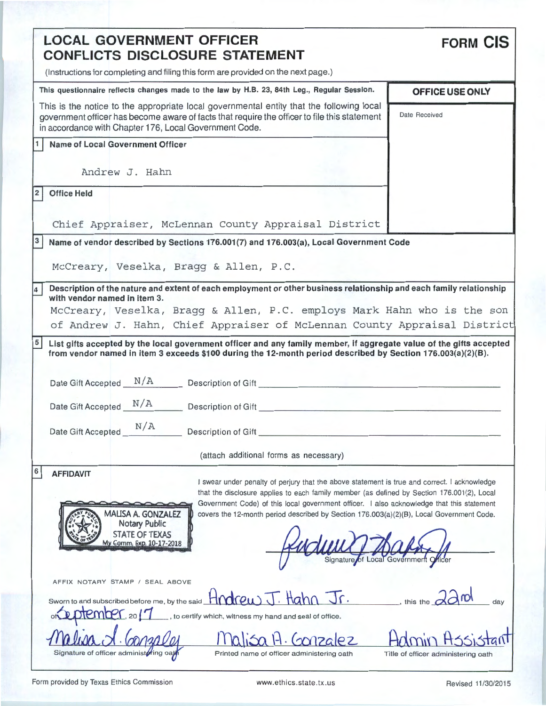| <b>LOCAL GOVERNMENT OFFICER</b><br><b>CONFLICTS DISCLOSURE STATEMENT</b>                                                                                                                                                                                                                                                                                                                                                                                                                                                                    | <b>FORM CIS</b>                                                     |
|---------------------------------------------------------------------------------------------------------------------------------------------------------------------------------------------------------------------------------------------------------------------------------------------------------------------------------------------------------------------------------------------------------------------------------------------------------------------------------------------------------------------------------------------|---------------------------------------------------------------------|
| (Instructions for completing and filing this form are provided on the next page.)                                                                                                                                                                                                                                                                                                                                                                                                                                                           |                                                                     |
| This questionnaire reflects changes made to the law by H.B. 23, 84th Leg., Regular Session.                                                                                                                                                                                                                                                                                                                                                                                                                                                 | OFFICE USE ONLY                                                     |
| This is the notice to the appropriate local governmental entity that the following local<br>government officer has become aware of facts that require the officer to file this statement<br>in accordance with Chapter 176, Local Government Code.                                                                                                                                                                                                                                                                                          | Date Received                                                       |
| <b>Name of Local Government Officer</b><br>1.                                                                                                                                                                                                                                                                                                                                                                                                                                                                                               |                                                                     |
| Andrew J. Hahn                                                                                                                                                                                                                                                                                                                                                                                                                                                                                                                              |                                                                     |
| 2<br><b>Office Held</b>                                                                                                                                                                                                                                                                                                                                                                                                                                                                                                                     |                                                                     |
| Chief Appraiser, McLennan County Appraisal District                                                                                                                                                                                                                                                                                                                                                                                                                                                                                         |                                                                     |
| 3<br>Name of vendor described by Sections 176.001(7) and 176.003(a), Local Government Code                                                                                                                                                                                                                                                                                                                                                                                                                                                  |                                                                     |
| McCreary, Veselka, Bragg & Allen, P.C.                                                                                                                                                                                                                                                                                                                                                                                                                                                                                                      |                                                                     |
| Description of the nature and extent of each employment or other business relationship and each family relationship<br>4                                                                                                                                                                                                                                                                                                                                                                                                                    |                                                                     |
| with vendor named in item 3.                                                                                                                                                                                                                                                                                                                                                                                                                                                                                                                |                                                                     |
| McCreary, Veselka, Bragg & Allen, P.C. employs Mark Hahn who is the son                                                                                                                                                                                                                                                                                                                                                                                                                                                                     |                                                                     |
| of Andrew J. Hahn, Chief Appraiser of McLennan County Appraisal District                                                                                                                                                                                                                                                                                                                                                                                                                                                                    |                                                                     |
| from vendor named in item 3 exceeds \$100 during the 12-month period described by Section 176.003(a)(2)(B).<br>Date Gift Accepted N/A Description of Gift                                                                                                                                                                                                                                                                                                                                                                                   |                                                                     |
| N/A<br>Date Gift Accepted<br>Description of Gift                                                                                                                                                                                                                                                                                                                                                                                                                                                                                            |                                                                     |
| (attach additional forms as necessary)                                                                                                                                                                                                                                                                                                                                                                                                                                                                                                      |                                                                     |
| 6<br><b>AFFIDAVIT</b><br>I swear under penalty of perjury that the above statement is true and correct. I acknowledge<br>that the disclosure applies to each family member (as defined by Section 176.001(2), Local<br>Government Code) of this local government officer. I also acknowledge that this statement<br>MALISA A. GONZALEZ<br>covers the 12-month period described by Section 176.003(a)(2)(B), Local Government Code.<br>Notary Public<br><b>STATE OF TEXAS</b><br>My Comm. Exp. 10-17-2018<br>Signature of Local Government Q |                                                                     |
| AFFIX NOTARY STAMP / SEAL ABOVE<br>Sworn to and subscribed before me, by the said $\overline{H}$ <b>rdrew</b> $\overline{J}$ . $\overline{H}$ <b>ahn</b> $\overline{J}$ r.<br>$D$ otember. 2017<br>to certify which, witness my hand and seal of office.                                                                                                                                                                                                                                                                                    | $\overline{\phantom{a}}$ , this the $\overline{\phantom{a}}$<br>dav |
| Signature of officer administoring oat<br>Printed name of officer administering oath                                                                                                                                                                                                                                                                                                                                                                                                                                                        | Title of officer administering oath                                 |